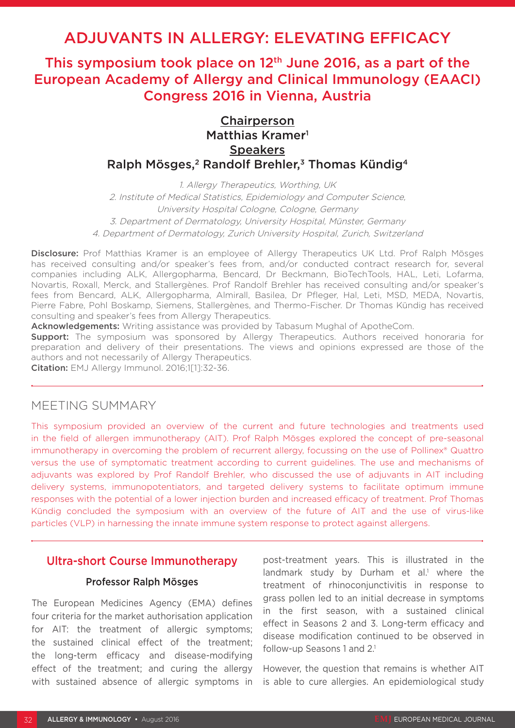# ADJUVANTS IN ALLERGY: ELEVATING EFFICACY

This symposium took place on  $12<sup>th</sup>$  June 2016, as a part of the European Academy of Allergy and Clinical Immunology (EAACI) Congress 2016 in Vienna, Austria

# Chairperson Matthias Kramer<sup>1</sup> **Speakers** Ralph Mösges,<sup>2</sup> Randolf Brehler,<sup>3</sup> Thomas Kündig<sup>4</sup>

1. Allergy Therapeutics, Worthing, UK 2. Institute of Medical Statistics, Epidemiology and Computer Science, University Hospital Cologne, Cologne, Germany 3. Department of Dermatology, University Hospital, Münster, Germany 4. Department of Dermatology, Zurich University Hospital, Zurich, Switzerland

Disclosure: Prof Matthias Kramer is an employee of Allergy Therapeutics UK Ltd. Prof Ralph Mösges has received consulting and/or speaker's fees from, and/or conducted contract research for, several companies including ALK, Allergopharma, Bencard, Dr Beckmann, BioTechTools, HAL, Leti, Lofarma, Novartis, Roxall, Merck, and Stallergènes. Prof Randolf Brehler has received consulting and/or speaker's fees from Bencard, ALK, Allergopharma, Almirall, Basilea, Dr Pfleger, Hal, Leti, MSD, MEDA, Novartis, Pierre Fabre, Pohl Boskamp, Siemens, Stallergènes, and Thermo-Fischer. Dr Thomas Kündig has received consulting and speaker's fees from Allergy Therapeutics.

Acknowledgements: Writing assistance was provided by Tabasum Mughal of ApotheCom.

**Support:** The symposium was sponsored by Allergy Therapeutics. Authors received honoraria for preparation and delivery of their presentations. The views and opinions expressed are those of the authors and not necessarily of Allergy Therapeutics.

Citation: EMJ Allergy Immunol. 2016;1[1]:32-36.

# MEETING SUMMARY

This symposium provided an overview of the current and future technologies and treatments used in the field of allergen immunotherapy (AIT). Prof Ralph Mösges explored the concept of pre-seasonal immunotherapy in overcoming the problem of recurrent allergy, focussing on the use of Pollinex® Quattro versus the use of symptomatic treatment according to current guidelines. The use and mechanisms of adjuvants was explored by Prof Randolf Brehler, who discussed the use of adjuvants in AIT including delivery systems, immunopotentiators, and targeted delivery systems to facilitate optimum immune responses with the potential of a lower injection burden and increased efficacy of treatment. Prof Thomas Kündig concluded the symposium with an overview of the future of AIT and the use of virus-like particles (VLP) in harnessing the innate immune system response to protect against allergens.

# Ultra-short Course Immunotherapy

#### Professor Ralph Mösges

The European Medicines Agency (EMA) defines four criteria for the market authorisation application for AIT: the treatment of allergic symptoms; the sustained clinical effect of the treatment; the long-term efficacy and disease-modifying effect of the treatment; and curing the allergy with sustained absence of allergic symptoms in post-treatment years. This is illustrated in the landmark study by Durham et al.<sup>1</sup> where the treatment of rhinoconjunctivitis in response to grass pollen led to an initial decrease in symptoms in the first season, with a sustained clinical effect in Seasons 2 and 3. Long-term efficacy and disease modification continued to be observed in follow-up Seasons 1 and 2.<sup>1</sup>

However, the question that remains is whether AIT is able to cure allergies. An epidemiological study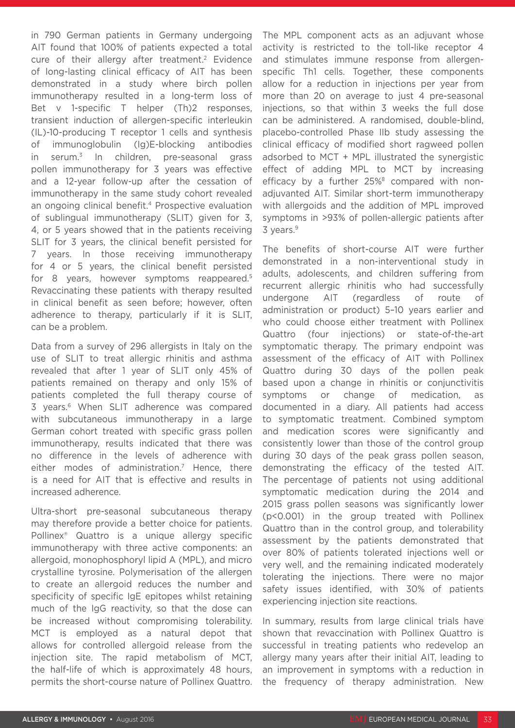in 790 German patients in Germany undergoing AIT found that 100% of patients expected a total cure of their allergy after treatment.<sup>2</sup> Evidence of long-lasting clinical efficacy of AIT has been demonstrated in a study where birch pollen immunotherapy resulted in a long-term loss of Bet v 1-specific T helper (Th)2 responses, transient induction of allergen-specific interleukin (IL)-10-producing T receptor 1 cells and synthesis of immunoglobulin (Ig)E-blocking antibodies in serum.3 In children, pre-seasonal grass pollen immunotherapy for 3 years was effective and a 12-year follow-up after the cessation of immunotherapy in the same study cohort revealed an ongoing clinical benefit.<sup>4</sup> Prospective evaluation of sublingual immunotherapy (SLIT) given for 3, 4, or 5 years showed that in the patients receiving SLIT for 3 years, the clinical benefit persisted for 7 years. In those receiving immunotherapy for 4 or 5 years, the clinical benefit persisted for 8 years, however symptoms reappeared.5 Revaccinating these patients with therapy resulted in clinical benefit as seen before; however, often adherence to therapy, particularly if it is SLIT, can be a problem.

Data from a survey of 296 allergists in Italy on the use of SLIT to treat allergic rhinitis and asthma revealed that after 1 year of SLIT only 45% of patients remained on therapy and only 15% of patients completed the full therapy course of 3 years.<sup>6</sup> When SLIT adherence was compared with subcutaneous immunotherapy in a large German cohort treated with specific grass pollen immunotherapy, results indicated that there was no difference in the levels of adherence with either modes of administration.<sup>7</sup> Hence, there is a need for AIT that is effective and results in increased adherence.

Ultra-short pre-seasonal subcutaneous therapy may therefore provide a better choice for patients. Pollinex® Quattro is a unique allergy specific immunotherapy with three active components: an allergoid, monophosphoryl lipid A (MPL), and micro crystalline tyrosine. Polymerisation of the allergen to create an allergoid reduces the number and specificity of specific IgE epitopes whilst retaining much of the IgG reactivity, so that the dose can be increased without compromising tolerability. MCT is employed as a natural depot that allows for controlled allergoid release from the injection site. The rapid metabolism of MCT, the half-life of which is approximately 48 hours, permits the short-course nature of Pollinex Quattro.

The MPL component acts as an adjuvant whose activity is restricted to the toll-like receptor 4 and stimulates immune response from allergenspecific Th1 cells. Together, these components allow for a reduction in injections per year from more than 20 on average to just 4 pre-seasonal injections, so that within 3 weeks the full dose can be administered. A randomised, double-blind, placebo-controlled Phase IIb study assessing the clinical efficacy of modified short ragweed pollen adsorbed to MCT + MPL illustrated the synergistic effect of adding MPL to MCT by increasing efficacy by a further 25%<sup>8</sup> compared with nonadjuvanted AIT. Similar short-term immunotherapy with allergoids and the addition of MPL improved symptoms in >93% of pollen-allergic patients after 3 years.<sup>9</sup>

The benefits of short-course AIT were further demonstrated in a non-interventional study in adults, adolescents, and children suffering from recurrent allergic rhinitis who had successfully undergone AIT (regardless of route of administration or product) 5–10 years earlier and who could choose either treatment with Pollinex Quattro (four injections) or state-of-the-art symptomatic therapy. The primary endpoint was assessment of the efficacy of AIT with Pollinex Quattro during 30 days of the pollen peak based upon a change in rhinitis or conjunctivitis symptoms or change of medication, as documented in a diary. All patients had access to symptomatic treatment. Combined symptom and medication scores were significantly and consistently lower than those of the control group during 30 days of the peak grass pollen season, demonstrating the efficacy of the tested AIT. The percentage of patients not using additional symptomatic medication during the 2014 and 2015 grass pollen seasons was significantly lower (p<0.001) in the group treated with Pollinex Quattro than in the control group, and tolerability assessment by the patients demonstrated that over 80% of patients tolerated injections well or very well, and the remaining indicated moderately tolerating the injections. There were no major safety issues identified, with 30% of patients experiencing injection site reactions.

In summary, results from large clinical trials have shown that revaccination with Pollinex Quattro is successful in treating patients who redevelop an allergy many years after their initial AIT, leading to an improvement in symptoms with a reduction in the frequency of therapy administration. New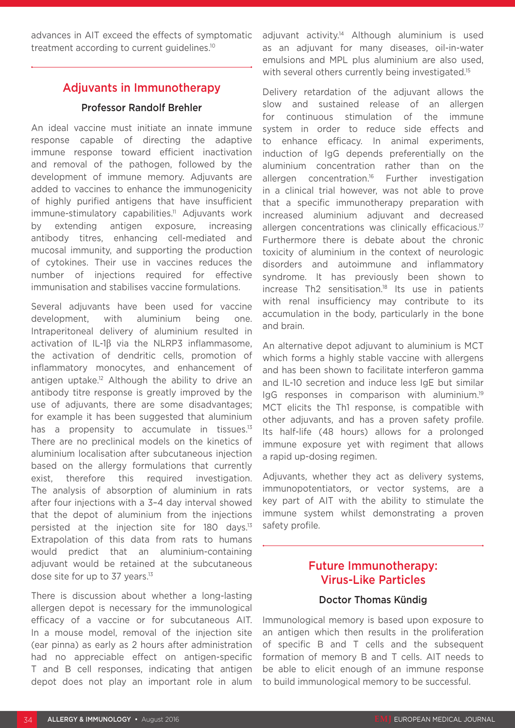advances in AIT exceed the effects of symptomatic treatment according to current guidelines.10

# Adjuvants in Immunotherapy

#### Professor Randolf Brehler

An ideal vaccine must initiate an innate immune response capable of directing the adaptive immune response toward efficient inactivation and removal of the pathogen, followed by the development of immune memory. Adjuvants are added to vaccines to enhance the immunogenicity of highly purified antigens that have insufficient immune-stimulatory capabilities.<sup>11</sup> Adjuvants work by extending antigen exposure, increasing antibody titres, enhancing cell-mediated and mucosal immunity, and supporting the production of cytokines. Their use in vaccines reduces the number of injections required for effective immunisation and stabilises vaccine formulations.

Several adjuvants have been used for vaccine development, with aluminium being one. Intraperitoneal delivery of aluminium resulted in activation of IL-1β via the NLRP3 inflammasome, the activation of dendritic cells, promotion of inflammatory monocytes, and enhancement of antigen uptake.<sup>12</sup> Although the ability to drive an antibody titre response is greatly improved by the use of adjuvants, there are some disadvantages; for example it has been suggested that aluminium has a propensity to accumulate in tissues.<sup>13</sup> There are no preclinical models on the kinetics of aluminium localisation after subcutaneous injection based on the allergy formulations that currently exist, therefore this required investigation. The analysis of absorption of aluminium in rats after four injections with a 3–4 day interval showed that the depot of aluminium from the injections persisted at the injection site for 180 days.13 Extrapolation of this data from rats to humans would predict that an aluminium-containing adjuvant would be retained at the subcutaneous dose site for up to 37 years.<sup>13</sup>

There is discussion about whether a long-lasting allergen depot is necessary for the immunological efficacy of a vaccine or for subcutaneous AIT. In a mouse model, removal of the injection site (ear pinna) as early as 2 hours after administration had no appreciable effect on antigen-specific T and B cell responses, indicating that antigen depot does not play an important role in alum adjuvant activity.<sup>14</sup> Although aluminium is used as an adjuvant for many diseases, oil-in-water emulsions and MPL plus aluminium are also used, with several others currently being investigated.<sup>15</sup>

Delivery retardation of the adjuvant allows the slow and sustained release of an allergen for continuous stimulation of the immune system in order to reduce side effects and to enhance efficacy. In animal experiments, induction of IgG depends preferentially on the aluminium concentration rather than on the allergen concentration.<sup>16</sup> Further investigation in a clinical trial however, was not able to prove that a specific immunotherapy preparation with increased aluminium adjuvant and decreased allergen concentrations was clinically efficacious.<sup>17</sup> Furthermore there is debate about the chronic toxicity of aluminium in the context of neurologic disorders and autoimmune and inflammatory syndrome. It has previously been shown to  $increases$  Th2 sensitisation.<sup>18</sup> Its use in patients with renal insufficiency may contribute to its accumulation in the body, particularly in the bone and brain.

An alternative depot adjuvant to aluminium is MCT which forms a highly stable vaccine with allergens and has been shown to facilitate interferon gamma and IL-10 secretion and induce less IgE but similar IgG responses in comparison with aluminium.19 MCT elicits the Th1 response, is compatible with other adjuvants, and has a proven safety profile. Its half-life (48 hours) allows for a prolonged immune exposure yet with regiment that allows a rapid up-dosing regimen.

Adjuvants, whether they act as delivery systems, immunopotentiators, or vector systems, are a key part of AIT with the ability to stimulate the immune system whilst demonstrating a proven safety profile.

# Future Immunotherapy: Virus-Like Particles

#### Doctor Thomas Kündig

Immunological memory is based upon exposure to an antigen which then results in the proliferation of specific B and T cells and the subsequent formation of memory B and T cells. AIT needs to be able to elicit enough of an immune response to build immunological memory to be successful.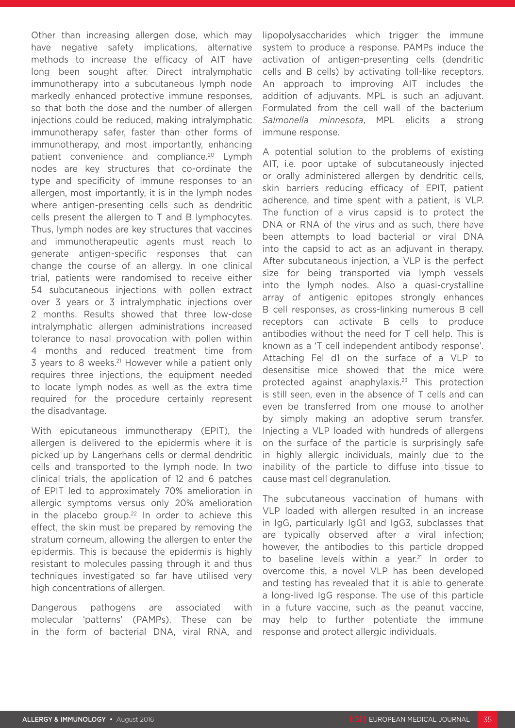Other than increasing allergen dose, which may have negative safety implications, alternative methods to increase the efficacy of AIT have long been sought after. Direct intralymphatic immunotherapy into a subcutaneous lymph node markedly enhanced protective immune responses, so that both the dose and the number of allergen injections could be reduced, making intralymphatic immunotherapy safer, faster than other forms of immunotherapy, and most importantly, enhancing patient convenience and compliance.<sup>20</sup> Lymph nodes are key structures that co-ordinate the type and specificity of immune responses to an allergen, most importantly, it is in the lymph nodes where antigen-presenting cells such as dendritic cells present the allergen to T and B lymphocytes. Thus, lymph nodes are key structures that vaccines and immunotherapeutic agents must reach to generate antigen-specific responses that can change the course of an allergy. In one clinical trial, patients were randomised to receive either 54 subcutaneous injections with pollen extract over 3 years or 3 intralymphatic injections over 2 months. Results showed that three low-dose intralymphatic allergen administrations increased tolerance to nasal provocation with pollen within 4 months and reduced treatment time from 3 years to 8 weeks.<sup>21</sup> However while a patient only requires three injections, the equipment needed to locate lymph nodes as well as the extra time required for the procedure certainly represent the disadvantage.

With epicutaneous immunotherapy (EPIT), the allergen is delivered to the epidermis where it is picked up by Langerhans cells or dermal dendritic cells and transported to the lymph node. In two clinical trials, the application of 12 and 6 patches of EPIT led to approximately 70% amelioration in allergic symptoms versus only 20% amelioration in the placebo group.<sup>22</sup> In order to achieve this effect, the skin must be prepared by removing the stratum corneum, allowing the allergen to enter the epidermis. This is because the epidermis is highly resistant to molecules passing through it and thus techniques investigated so far have utilised very high concentrations of allergen.

Dangerous pathogens are associated with molecular 'patterns' (PAMPs). These can be in the form of bacterial DNA, viral RNA, and

lipopolysaccharides which trigger the immune system to produce a response. PAMPs induce the activation of antigen-presenting cells (dendritic cells and B cells) by activating toll-like receptors. An approach to improving AIT includes the addition of adjuvants. MPL is such an adjuvant. Formulated from the cell wall of the bacterium *Salmonella minnesota*, MPL elicits a strong immune response.

A potential solution to the problems of existing AIT, i.e. poor uptake of subcutaneously injected or orally administered allergen by dendritic cells, skin barriers reducing efficacy of EPIT, patient adherence, and time spent with a patient, is VLP. The function of a virus capsid is to protect the DNA or RNA of the virus and as such, there have been attempts to load bacterial or viral DNA into the capsid to act as an adjuvant in therapy. After subcutaneous injection, a VLP is the perfect size for being transported via lymph vessels into the lymph nodes. Also a quasi-crystalline array of antigenic epitopes strongly enhances B cell responses, as cross-linking numerous B cell receptors can activate B cells to produce antibodies without the need for T cell help. This is known as a 'T cell independent antibody response'. Attaching Fel d1 on the surface of a VLP to desensitise mice showed that the mice were protected against anaphylaxis.23 This protection is still seen, even in the absence of T cells and can even be transferred from one mouse to another by simply making an adoptive serum transfer. Injecting a VLP loaded with hundreds of allergens on the surface of the particle is surprisingly safe in highly allergic individuals, mainly due to the inability of the particle to diffuse into tissue to cause mast cell degranulation.

The subcutaneous vaccination of humans with VLP loaded with allergen resulted in an increase in IgG, particularly IgG1 and IgG3, subclasses that are typically observed after a viral infection; however, the antibodies to this particle dropped to baseline levels within a year.<sup>21</sup> In order to overcome this, a novel VLP has been developed and testing has revealed that it is able to generate a long-lived IgG response. The use of this particle in a future vaccine, such as the peanut vaccine, may help to further potentiate the immune response and protect allergic individuals.